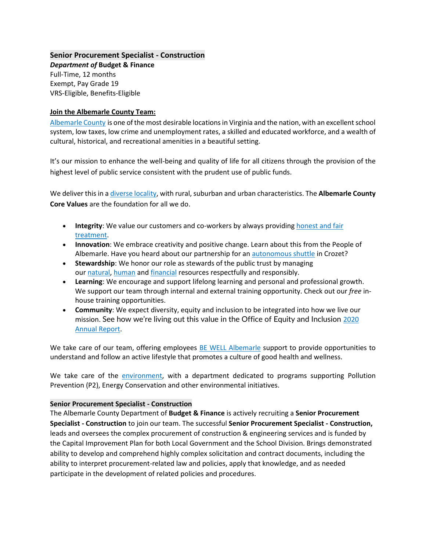#### **Senior Procurement Specialist - Construction**

*Department of* **Budget & Finance** Full-Time, 12 months Exempt, Pay Grade 19 VRS-Eligible, Benefits-Eligible

#### **Join the Albemarle County Team:**

[Albemarle County](https://www.visitcharlottesville.org/) is one of the most desirable locations in Virginia and the nation, with an excellent school system, low taxes, low crime and unemployment rates, a skilled and educated workforce, and a wealth of cultural, historical, and recreational amenities in a beautiful setting.

It's our mission to enhance the well-being and quality of life for all citizens through the provision of the highest level of public service consistent with the prudent use of public funds.

We deliver this in [a diverse locality,](https://www.enablealbemarle.org/about-albemarle/living-here) with rural, suburban and urban characteristics. The **Albemarle County Core Values** are the foundation for all we do.

- **Integrity**: We value our customers and co-workers by always providing [honest and fair](https://www.albemarle.org/home/showpublisheddocument?id=414)  [treatment.](https://www.albemarle.org/home/showpublisheddocument?id=414)
- **Innovation**: We embrace creativity and positive change. Learn about this from the People of Albemarle. Have you heard about our partnership for an [autonomous shuttle](https://www.albemarle.org/home/showpublisheddocument?id=666) in Crozet?
- **Stewardship**: We honor our role as stewards of the public trust by managing our [natural,](https://www.albemarle.org/government/facilities-environmental-services/environmental-stewardship) [human](https://www.albemarle.org/government/human-resources/working-at-albemarle) and [financial](https://www.albemarle.org/government/budget) resources respectfully and responsibly.
- **Learning**: We encourage and support lifelong learning and personal and professional growth. We support our team through internal and external training opportunity. Check out our *free* inhouse training opportunities.
- **Community**: We expect diversity, equity and inclusion to be integrated into how we live our mission. See how we're living out this value in the Office of Equity and Inclusion [2020](https://albemarle.legistar.com/View.ashx?M=F&ID=9054803&GUID=1E9D81DC-C420-4CAF-B8D1-91825ABFD287)  [Annual Report.](https://albemarle.legistar.com/View.ashx?M=F&ID=9054803&GUID=1E9D81DC-C420-4CAF-B8D1-91825ABFD287)

We take care of our team, offering employees [BE WELL Albemarle](http://bewell.albemarle.org/Pages/default.aspx) support to provide opportunities to understand and follow an active lifestyle that promotes a culture of good health and wellness.

We take care of the [environment,](https://www.albemarle.org/home/showpublisheddocument?id=5432) with a department dedicated to programs supporting Pollution Prevention (P2), Energy Conservation and other environmental initiatives.

### **Senior Procurement Specialist - Construction**

The Albemarle County Department of **Budget & Finance** is actively recruiting a **Senior Procurement Specialist - Construction** to join our team. The successful **Senior Procurement Specialist - Construction,** leads and oversees the complex procurement of construction & engineering services and is funded by the Capital Improvement Plan for both Local Government and the School Division. Brings demonstrated ability to develop and comprehend highly complex solicitation and contract documents, including the ability to interpret procurement-related law and policies, apply that knowledge, and as needed participate in the development of related policies and procedures.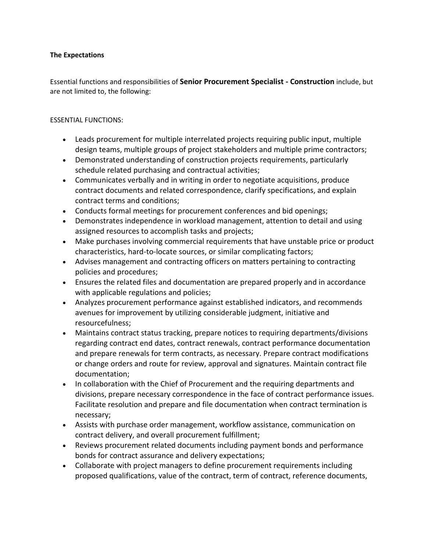## **The Expectations**

Essential functions and responsibilities of **Senior Procurement Specialist - Construction** include, but are not limited to, the following:

## ESSENTIAL FUNCTIONS:

- Leads procurement for multiple interrelated projects requiring public input, multiple design teams, multiple groups of project stakeholders and multiple prime contractors;
- Demonstrated understanding of construction projects requirements, particularly schedule related purchasing and contractual activities;
- Communicates verbally and in writing in order to negotiate acquisitions, produce contract documents and related correspondence, clarify specifications, and explain contract terms and conditions;
- Conducts formal meetings for procurement conferences and bid openings;
- Demonstrates independence in workload management, attention to detail and using assigned resources to accomplish tasks and projects;
- Make purchases involving commercial requirements that have unstable price or product characteristics, hard-to-locate sources, or similar complicating factors;
- Advises management and contracting officers on matters pertaining to contracting policies and procedures;
- Ensures the related files and documentation are prepared properly and in accordance with applicable regulations and policies;
- Analyzes procurement performance against established indicators, and recommends avenues for improvement by utilizing considerable judgment, initiative and resourcefulness;
- Maintains contract status tracking, prepare notices to requiring departments/divisions regarding contract end dates, contract renewals, contract performance documentation and prepare renewals for term contracts, as necessary. Prepare contract modifications or change orders and route for review, approval and signatures. Maintain contract file documentation;
- In collaboration with the Chief of Procurement and the requiring departments and divisions, prepare necessary correspondence in the face of contract performance issues. Facilitate resolution and prepare and file documentation when contract termination is necessary;
- Assists with purchase order management, workflow assistance, communication on contract delivery, and overall procurement fulfillment;
- Reviews procurement related documents including payment bonds and performance bonds for contract assurance and delivery expectations;
- Collaborate with project managers to define procurement requirements including proposed qualifications, value of the contract, term of contract, reference documents,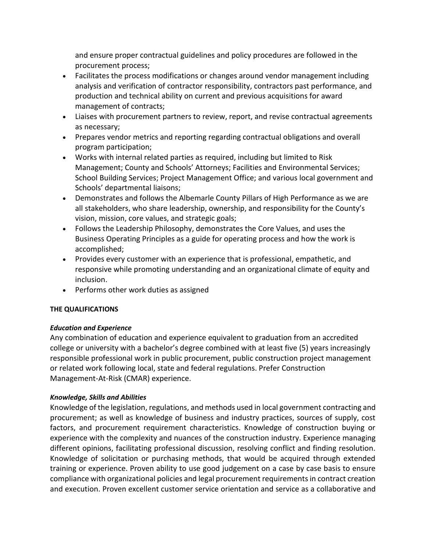and ensure proper contractual guidelines and policy procedures are followed in the procurement process;

- Facilitates the process modifications or changes around vendor management including analysis and verification of contractor responsibility, contractors past performance, and production and technical ability on current and previous acquisitions for award management of contracts;
- Liaises with procurement partners to review, report, and revise contractual agreements as necessary;
- Prepares vendor metrics and reporting regarding contractual obligations and overall program participation;
- Works with internal related parties as required, including but limited to Risk Management; County and Schools' Attorneys; Facilities and Environmental Services; School Building Services; Project Management Office; and various local government and Schools' departmental liaisons;
- Demonstrates and follows the Albemarle County Pillars of High Performance as we are all stakeholders, who share leadership, ownership, and responsibility for the County's vision, mission, core values, and strategic goals;
- Follows the Leadership Philosophy, demonstrates the Core Values, and uses the Business Operating Principles as a guide for operating process and how the work is accomplished;
- Provides every customer with an experience that is professional, empathetic, and responsive while promoting understanding and an organizational climate of equity and inclusion.
- Performs other work duties as assigned

# **THE QUALIFICATIONS**

# *Education and Experience*

Any combination of education and experience equivalent to graduation from an accredited college or university with a bachelor's degree combined with at least five (5) years increasingly responsible professional work in public procurement, public construction project management or related work following local, state and federal regulations. Prefer Construction Management-At-Risk (CMAR) experience.

# *Knowledge, Skills and Abilities*

Knowledge of the legislation, regulations, and methods used in local government contracting and procurement; as well as knowledge of business and industry practices, sources of supply, cost factors, and procurement requirement characteristics. Knowledge of construction buying or experience with the complexity and nuances of the construction industry. Experience managing different opinions, facilitating professional discussion, resolving conflict and finding resolution. Knowledge of solicitation or purchasing methods, that would be acquired through extended training or experience. Proven ability to use good judgement on a case by case basis to ensure compliance with organizational policies and legal procurement requirements in contract creation and execution. Proven excellent customer service orientation and service as a collaborative and